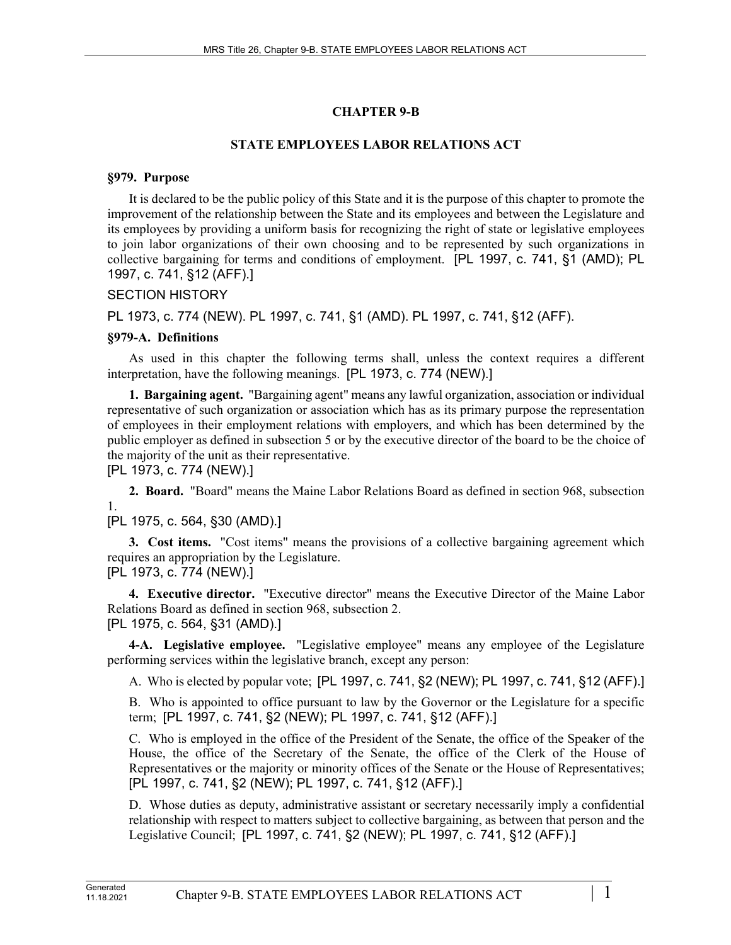### **CHAPTER 9-B**

### **STATE EMPLOYEES LABOR RELATIONS ACT**

#### **§979. Purpose**

It is declared to be the public policy of this State and it is the purpose of this chapter to promote the improvement of the relationship between the State and its employees and between the Legislature and its employees by providing a uniform basis for recognizing the right of state or legislative employees to join labor organizations of their own choosing and to be represented by such organizations in collective bargaining for terms and conditions of employment. [PL 1997, c. 741, §1 (AMD); PL 1997, c. 741, §12 (AFF).]

### SECTION HISTORY

PL 1973, c. 774 (NEW). PL 1997, c. 741, §1 (AMD). PL 1997, c. 741, §12 (AFF).

### **§979-A. Definitions**

As used in this chapter the following terms shall, unless the context requires a different interpretation, have the following meanings. [PL 1973, c. 774 (NEW).]

**1. Bargaining agent.** "Bargaining agent" means any lawful organization, association or individual representative of such organization or association which has as its primary purpose the representation of employees in their employment relations with employers, and which has been determined by the public employer as defined in subsection 5 or by the executive director of the board to be the choice of the majority of the unit as their representative.

[PL 1973, c. 774 (NEW).]

**2. Board.** "Board" means the Maine Labor Relations Board as defined in section 968, subsection 1.

### [PL 1975, c. 564, §30 (AMD).]

**3. Cost items.** "Cost items" means the provisions of a collective bargaining agreement which requires an appropriation by the Legislature. [PL 1973, c. 774 (NEW).]

**4. Executive director.** "Executive director" means the Executive Director of the Maine Labor Relations Board as defined in section 968, subsection 2. [PL 1975, c. 564, §31 (AMD).]

**4-A. Legislative employee.** "Legislative employee" means any employee of the Legislature performing services within the legislative branch, except any person:

A. Who is elected by popular vote; [PL 1997, c. 741, §2 (NEW); PL 1997, c. 741, §12 (AFF).]

B. Who is appointed to office pursuant to law by the Governor or the Legislature for a specific term; [PL 1997, c. 741, §2 (NEW); PL 1997, c. 741, §12 (AFF).]

C. Who is employed in the office of the President of the Senate, the office of the Speaker of the House, the office of the Secretary of the Senate, the office of the Clerk of the House of Representatives or the majority or minority offices of the Senate or the House of Representatives; [PL 1997, c. 741, §2 (NEW); PL 1997, c. 741, §12 (AFF).]

D. Whose duties as deputy, administrative assistant or secretary necessarily imply a confidential relationship with respect to matters subject to collective bargaining, as between that person and the Legislative Council; [PL 1997, c. 741, §2 (NEW); PL 1997, c. 741, §12 (AFF).]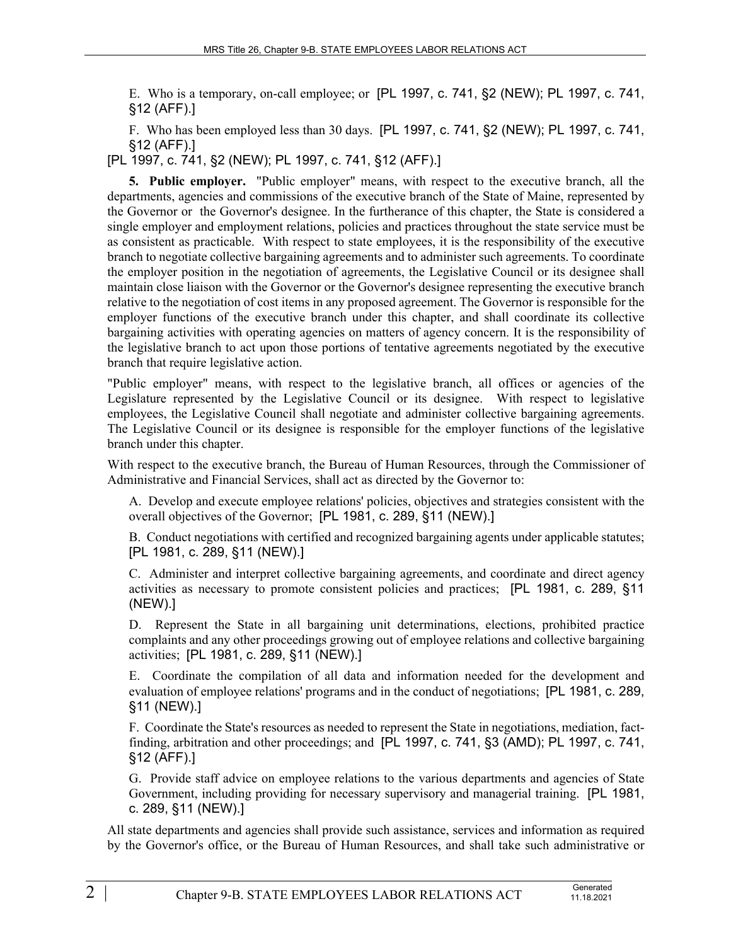E. Who is a temporary, on-call employee; or [PL 1997, c. 741, §2 (NEW); PL 1997, c. 741, §12 (AFF).]

F. Who has been employed less than 30 days. [PL 1997, c. 741, §2 (NEW); PL 1997, c. 741, §12 (AFF).]

[PL 1997, c. 741, §2 (NEW); PL 1997, c. 741, §12 (AFF).]

**5. Public employer.** "Public employer" means, with respect to the executive branch, all the departments, agencies and commissions of the executive branch of the State of Maine, represented by the Governor or the Governor's designee. In the furtherance of this chapter, the State is considered a single employer and employment relations, policies and practices throughout the state service must be as consistent as practicable. With respect to state employees, it is the responsibility of the executive branch to negotiate collective bargaining agreements and to administer such agreements. To coordinate the employer position in the negotiation of agreements, the Legislative Council or its designee shall maintain close liaison with the Governor or the Governor's designee representing the executive branch relative to the negotiation of cost items in any proposed agreement. The Governor is responsible for the employer functions of the executive branch under this chapter, and shall coordinate its collective bargaining activities with operating agencies on matters of agency concern. It is the responsibility of the legislative branch to act upon those portions of tentative agreements negotiated by the executive branch that require legislative action.

"Public employer" means, with respect to the legislative branch, all offices or agencies of the Legislature represented by the Legislative Council or its designee. With respect to legislative employees, the Legislative Council shall negotiate and administer collective bargaining agreements. The Legislative Council or its designee is responsible for the employer functions of the legislative branch under this chapter.

With respect to the executive branch, the Bureau of Human Resources, through the Commissioner of Administrative and Financial Services, shall act as directed by the Governor to:

A. Develop and execute employee relations' policies, objectives and strategies consistent with the overall objectives of the Governor; [PL 1981, c. 289, §11 (NEW).]

B. Conduct negotiations with certified and recognized bargaining agents under applicable statutes; [PL 1981, c. 289, §11 (NEW).]

C. Administer and interpret collective bargaining agreements, and coordinate and direct agency activities as necessary to promote consistent policies and practices; [PL 1981, c. 289, §11 (NEW).]

D. Represent the State in all bargaining unit determinations, elections, prohibited practice complaints and any other proceedings growing out of employee relations and collective bargaining activities; [PL 1981, c. 289, §11 (NEW).]

E. Coordinate the compilation of all data and information needed for the development and evaluation of employee relations' programs and in the conduct of negotiations; [PL 1981, c. 289, §11 (NEW).]

F. Coordinate the State's resources as needed to represent the State in negotiations, mediation, factfinding, arbitration and other proceedings; and [PL 1997, c. 741, §3 (AMD); PL 1997, c. 741, §12 (AFF).]

G. Provide staff advice on employee relations to the various departments and agencies of State Government, including providing for necessary supervisory and managerial training. [PL 1981, c. 289, §11 (NEW).]

11.18.2021

All state departments and agencies shall provide such assistance, services and information as required by the Governor's office, or the Bureau of Human Resources, and shall take such administrative or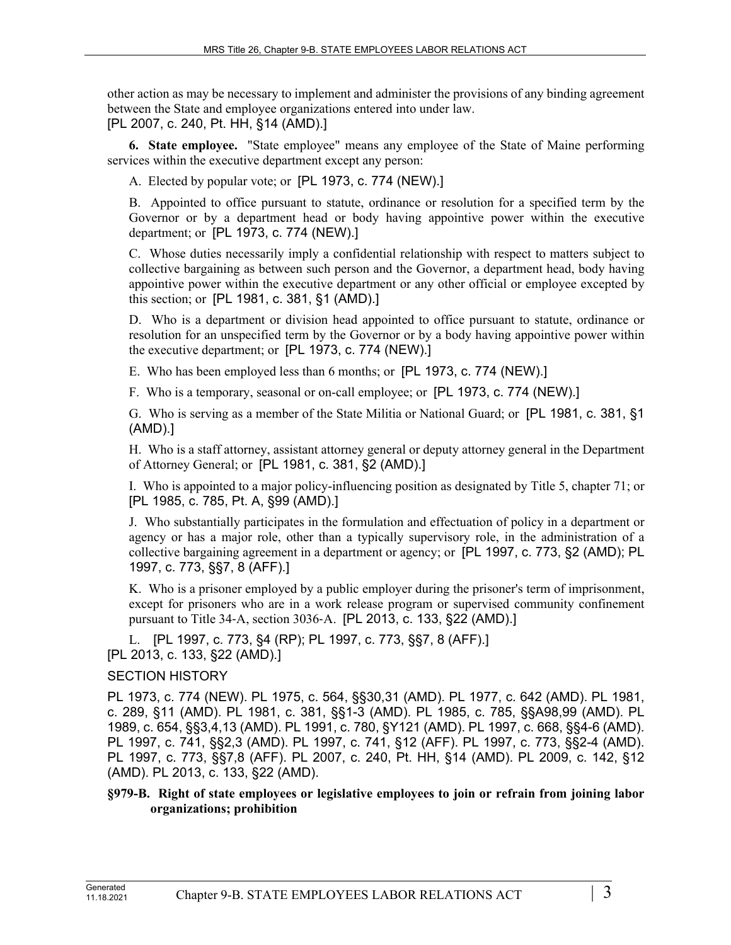other action as may be necessary to implement and administer the provisions of any binding agreement between the State and employee organizations entered into under law. [PL 2007, c. 240, Pt. HH, §14 (AMD).]

**6. State employee.** "State employee" means any employee of the State of Maine performing services within the executive department except any person:

A. Elected by popular vote; or [PL 1973, c. 774 (NEW).]

B. Appointed to office pursuant to statute, ordinance or resolution for a specified term by the Governor or by a department head or body having appointive power within the executive department; or [PL 1973, c. 774 (NEW).]

C. Whose duties necessarily imply a confidential relationship with respect to matters subject to collective bargaining as between such person and the Governor, a department head, body having appointive power within the executive department or any other official or employee excepted by this section; or [PL 1981, c. 381, §1 (AMD).]

D. Who is a department or division head appointed to office pursuant to statute, ordinance or resolution for an unspecified term by the Governor or by a body having appointive power within the executive department; or [PL 1973, c. 774 (NEW).]

E. Who has been employed less than 6 months; or [PL 1973, c. 774 (NEW).]

F. Who is a temporary, seasonal or on-call employee; or [PL 1973, c. 774 (NEW).]

G. Who is serving as a member of the State Militia or National Guard; or [PL 1981, c. 381, §1 (AMD).]

H. Who is a staff attorney, assistant attorney general or deputy attorney general in the Department of Attorney General; or [PL 1981, c. 381, §2 (AMD).]

I. Who is appointed to a major policy-influencing position as designated by Title 5, chapter 71; or [PL 1985, c. 785, Pt. A, §99 (AMD).]

J. Who substantially participates in the formulation and effectuation of policy in a department or agency or has a major role, other than a typically supervisory role, in the administration of a collective bargaining agreement in a department or agency; or [PL 1997, c. 773, §2 (AMD); PL 1997, c. 773, §§7, 8 (AFF).]

K. Who is a prisoner employed by a public employer during the prisoner's term of imprisonment, except for prisoners who are in a work release program or supervised community confinement pursuant to Title 34‑A, section 3036‑A. [PL 2013, c. 133, §22 (AMD).]

L. [PL 1997, c. 773, §4 (RP); PL 1997, c. 773, §§7, 8 (AFF).] [PL 2013, c. 133, §22 (AMD).]

# SECTION HISTORY

PL 1973, c. 774 (NEW). PL 1975, c. 564, §§30,31 (AMD). PL 1977, c. 642 (AMD). PL 1981, c. 289, §11 (AMD). PL 1981, c. 381, §§1-3 (AMD). PL 1985, c. 785, §§A98,99 (AMD). PL 1989, c. 654, §§3,4,13 (AMD). PL 1991, c. 780, §Y121 (AMD). PL 1997, c. 668, §§4-6 (AMD). PL 1997, c. 741, §§2,3 (AMD). PL 1997, c. 741, §12 (AFF). PL 1997, c. 773, §§2-4 (AMD). PL 1997, c. 773, §§7,8 (AFF). PL 2007, c. 240, Pt. HH, §14 (AMD). PL 2009, c. 142, §12 (AMD). PL 2013, c. 133, §22 (AMD).

**§979-B. Right of state employees or legislative employees to join or refrain from joining labor organizations; prohibition**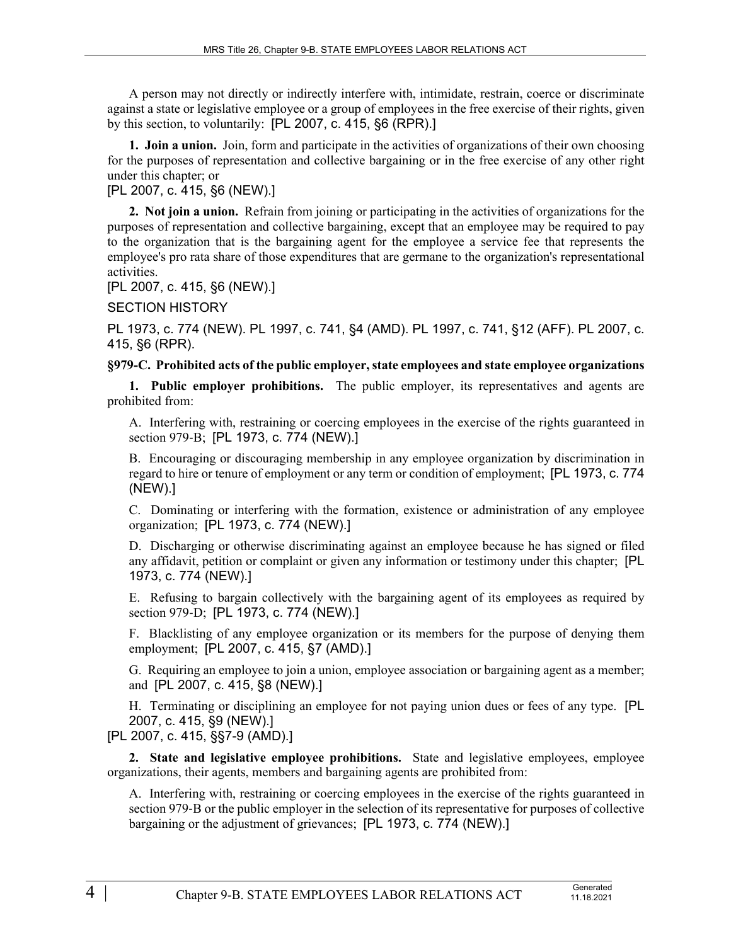A person may not directly or indirectly interfere with, intimidate, restrain, coerce or discriminate against a state or legislative employee or a group of employees in the free exercise of their rights, given by this section, to voluntarily: [PL 2007, c. 415, §6 (RPR).]

**1. Join a union.** Join, form and participate in the activities of organizations of their own choosing for the purposes of representation and collective bargaining or in the free exercise of any other right under this chapter; or

### [PL 2007, c. 415, §6 (NEW).]

**2. Not join a union.** Refrain from joining or participating in the activities of organizations for the purposes of representation and collective bargaining, except that an employee may be required to pay to the organization that is the bargaining agent for the employee a service fee that represents the employee's pro rata share of those expenditures that are germane to the organization's representational activities.

### [PL 2007, c. 415, §6 (NEW).]

SECTION HISTORY

PL 1973, c. 774 (NEW). PL 1997, c. 741, §4 (AMD). PL 1997, c. 741, §12 (AFF). PL 2007, c. 415, §6 (RPR).

### **§979-C. Prohibited acts of the public employer, state employees and state employee organizations**

**1. Public employer prohibitions.** The public employer, its representatives and agents are prohibited from:

A. Interfering with, restraining or coercing employees in the exercise of the rights guaranteed in section 979-B; [PL 1973, c. 774 (NEW).]

B. Encouraging or discouraging membership in any employee organization by discrimination in regard to hire or tenure of employment or any term or condition of employment; [PL 1973, c. 774 (NEW).]

C. Dominating or interfering with the formation, existence or administration of any employee organization; [PL 1973, c. 774 (NEW).]

D. Discharging or otherwise discriminating against an employee because he has signed or filed any affidavit, petition or complaint or given any information or testimony under this chapter; [PL 1973, c. 774 (NEW).]

E. Refusing to bargain collectively with the bargaining agent of its employees as required by section 979-D; [PL 1973, c. 774 (NEW).]

F. Blacklisting of any employee organization or its members for the purpose of denying them employment; [PL 2007, c. 415, §7 (AMD).]

G. Requiring an employee to join a union, employee association or bargaining agent as a member; and [PL 2007, c. 415, §8 (NEW).]

H. Terminating or disciplining an employee for not paying union dues or fees of any type. [PL 2007, c. 415, §9 (NEW).]

[PL 2007, c. 415, §§7-9 (AMD).]

**2. State and legislative employee prohibitions.** State and legislative employees, employee organizations, their agents, members and bargaining agents are prohibited from:

A. Interfering with, restraining or coercing employees in the exercise of the rights guaranteed in section 979‑B or the public employer in the selection of its representative for purposes of collective bargaining or the adjustment of grievances; [PL 1973, c. 774 (NEW).]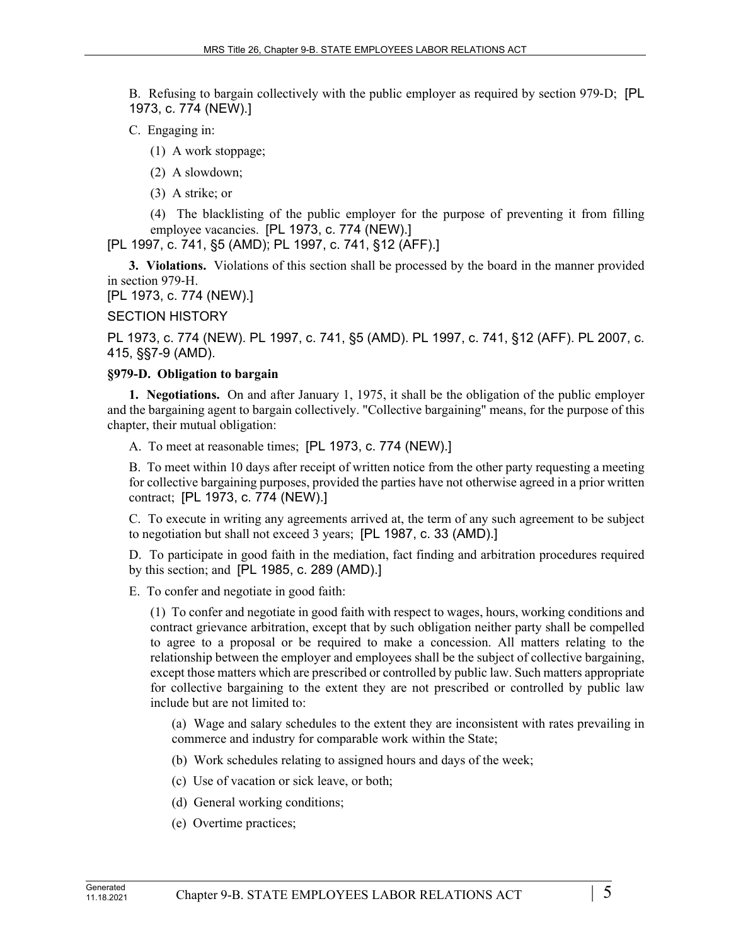B. Refusing to bargain collectively with the public employer as required by section 979-D; [PL] 1973, c. 774 (NEW).]

C. Engaging in:

(1) A work stoppage;

(2) A slowdown;

(3) A strike; or

(4) The blacklisting of the public employer for the purpose of preventing it from filling employee vacancies. [PL 1973, c. 774 (NEW).]

[PL 1997, c. 741, §5 (AMD); PL 1997, c. 741, §12 (AFF).]

**3. Violations.** Violations of this section shall be processed by the board in the manner provided in section 979‑H.

[PL 1973, c. 774 (NEW).]

SECTION HISTORY

PL 1973, c. 774 (NEW). PL 1997, c. 741, §5 (AMD). PL 1997, c. 741, §12 (AFF). PL 2007, c. 415, §§7-9 (AMD).

### **§979-D. Obligation to bargain**

**1. Negotiations.** On and after January 1, 1975, it shall be the obligation of the public employer and the bargaining agent to bargain collectively. "Collective bargaining" means, for the purpose of this chapter, their mutual obligation:

A. To meet at reasonable times; [PL 1973, c. 774 (NEW).]

B. To meet within 10 days after receipt of written notice from the other party requesting a meeting for collective bargaining purposes, provided the parties have not otherwise agreed in a prior written contract; [PL 1973, c. 774 (NEW).]

C. To execute in writing any agreements arrived at, the term of any such agreement to be subject to negotiation but shall not exceed 3 years; [PL 1987, c. 33 (AMD).]

D. To participate in good faith in the mediation, fact finding and arbitration procedures required by this section; and [PL 1985, c. 289 (AMD).]

E. To confer and negotiate in good faith:

(1) To confer and negotiate in good faith with respect to wages, hours, working conditions and contract grievance arbitration, except that by such obligation neither party shall be compelled to agree to a proposal or be required to make a concession. All matters relating to the relationship between the employer and employees shall be the subject of collective bargaining, except those matters which are prescribed or controlled by public law. Such matters appropriate for collective bargaining to the extent they are not prescribed or controlled by public law include but are not limited to:

(a) Wage and salary schedules to the extent they are inconsistent with rates prevailing in commerce and industry for comparable work within the State;

- (b) Work schedules relating to assigned hours and days of the week;
- (c) Use of vacation or sick leave, or both;
- (d) General working conditions;
- (e) Overtime practices;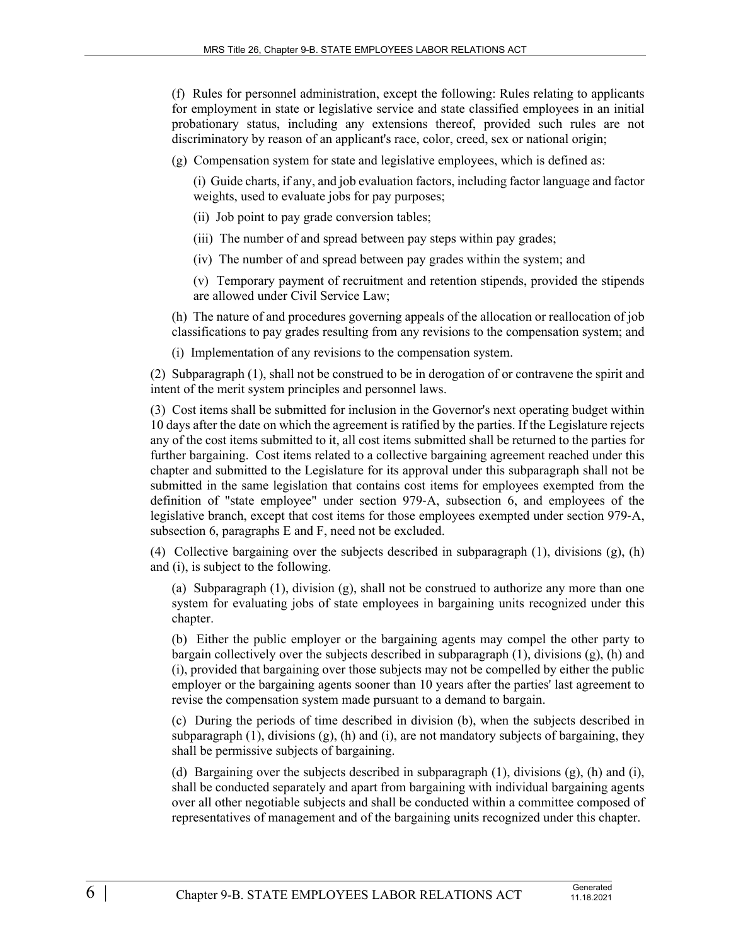(f) Rules for personnel administration, except the following: Rules relating to applicants for employment in state or legislative service and state classified employees in an initial probationary status, including any extensions thereof, provided such rules are not discriminatory by reason of an applicant's race, color, creed, sex or national origin;

(g) Compensation system for state and legislative employees, which is defined as:

(i) Guide charts, if any, and job evaluation factors, including factor language and factor weights, used to evaluate jobs for pay purposes;

- (ii) Job point to pay grade conversion tables;
- (iii) The number of and spread between pay steps within pay grades;
- (iv) The number of and spread between pay grades within the system; and

(v) Temporary payment of recruitment and retention stipends, provided the stipends are allowed under Civil Service Law;

(h) The nature of and procedures governing appeals of the allocation or reallocation of job classifications to pay grades resulting from any revisions to the compensation system; and

(i) Implementation of any revisions to the compensation system.

(2) Subparagraph (1), shall not be construed to be in derogation of or contravene the spirit and intent of the merit system principles and personnel laws.

(3) Cost items shall be submitted for inclusion in the Governor's next operating budget within 10 days after the date on which the agreement is ratified by the parties. If the Legislature rejects any of the cost items submitted to it, all cost items submitted shall be returned to the parties for further bargaining. Cost items related to a collective bargaining agreement reached under this chapter and submitted to the Legislature for its approval under this subparagraph shall not be submitted in the same legislation that contains cost items for employees exempted from the definition of "state employee" under section 979‑A, subsection 6, and employees of the legislative branch, except that cost items for those employees exempted under section 979‑A, subsection 6, paragraphs E and F, need not be excluded.

(4) Collective bargaining over the subjects described in subparagraph (1), divisions (g), (h) and (i), is subject to the following.

(a) Subparagraph (1), division (g), shall not be construed to authorize any more than one system for evaluating jobs of state employees in bargaining units recognized under this chapter.

(b) Either the public employer or the bargaining agents may compel the other party to bargain collectively over the subjects described in subparagraph  $(1)$ , divisions  $(g)$ ,  $(h)$  and (i), provided that bargaining over those subjects may not be compelled by either the public employer or the bargaining agents sooner than 10 years after the parties' last agreement to revise the compensation system made pursuant to a demand to bargain.

(c) During the periods of time described in division (b), when the subjects described in subparagraph  $(1)$ , divisions  $(g)$ ,  $(h)$  and  $(i)$ , are not mandatory subjects of bargaining, they shall be permissive subjects of bargaining.

(d) Bargaining over the subjects described in subparagraph (1), divisions (g), (h) and (i), shall be conducted separately and apart from bargaining with individual bargaining agents over all other negotiable subjects and shall be conducted within a committee composed of representatives of management and of the bargaining units recognized under this chapter.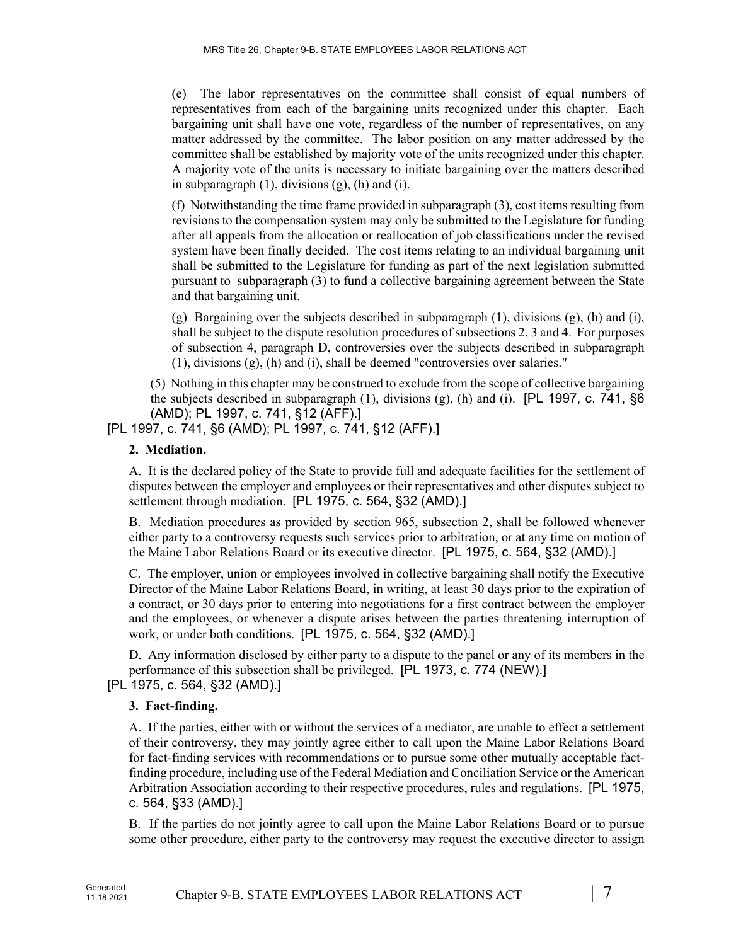(e) The labor representatives on the committee shall consist of equal numbers of representatives from each of the bargaining units recognized under this chapter. Each bargaining unit shall have one vote, regardless of the number of representatives, on any matter addressed by the committee. The labor position on any matter addressed by the committee shall be established by majority vote of the units recognized under this chapter. A majority vote of the units is necessary to initiate bargaining over the matters described in subparagraph  $(1)$ , divisions  $(g)$ ,  $(h)$  and  $(i)$ .

(f) Notwithstanding the time frame provided in subparagraph (3), cost items resulting from revisions to the compensation system may only be submitted to the Legislature for funding after all appeals from the allocation or reallocation of job classifications under the revised system have been finally decided. The cost items relating to an individual bargaining unit shall be submitted to the Legislature for funding as part of the next legislation submitted pursuant to subparagraph (3) to fund a collective bargaining agreement between the State and that bargaining unit.

(g) Bargaining over the subjects described in subparagraph  $(1)$ , divisions  $(g)$ ,  $(h)$  and  $(i)$ , shall be subject to the dispute resolution procedures of subsections 2, 3 and 4. For purposes of subsection 4, paragraph D, controversies over the subjects described in subparagraph (1), divisions (g), (h) and (i), shall be deemed "controversies over salaries."

(5) Nothing in this chapter may be construed to exclude from the scope of collective bargaining the subjects described in subparagraph (1), divisions (g), (h) and (i). [PL 1997, c. 741, §6 (AMD); PL 1997, c. 741, §12 (AFF).]

[PL 1997, c. 741, §6 (AMD); PL 1997, c. 741, §12 (AFF).]

# **2. Mediation.**

A. It is the declared policy of the State to provide full and adequate facilities for the settlement of disputes between the employer and employees or their representatives and other disputes subject to settlement through mediation. [PL 1975, c. 564, §32 (AMD).]

B. Mediation procedures as provided by section 965, subsection 2, shall be followed whenever either party to a controversy requests such services prior to arbitration, or at any time on motion of the Maine Labor Relations Board or its executive director. [PL 1975, c. 564, §32 (AMD).]

C. The employer, union or employees involved in collective bargaining shall notify the Executive Director of the Maine Labor Relations Board, in writing, at least 30 days prior to the expiration of a contract, or 30 days prior to entering into negotiations for a first contract between the employer and the employees, or whenever a dispute arises between the parties threatening interruption of work, or under both conditions. [PL 1975, c. 564, §32 (AMD).]

D. Any information disclosed by either party to a dispute to the panel or any of its members in the performance of this subsection shall be privileged. [PL 1973, c. 774 (NEW).]

[PL 1975, c. 564, §32 (AMD).]

# **3. Fact-finding.**

A. If the parties, either with or without the services of a mediator, are unable to effect a settlement of their controversy, they may jointly agree either to call upon the Maine Labor Relations Board for fact-finding services with recommendations or to pursue some other mutually acceptable factfinding procedure, including use of the Federal Mediation and Conciliation Service or the American Arbitration Association according to their respective procedures, rules and regulations. [PL 1975, c. 564, §33 (AMD).]

B. If the parties do not jointly agree to call upon the Maine Labor Relations Board or to pursue some other procedure, either party to the controversy may request the executive director to assign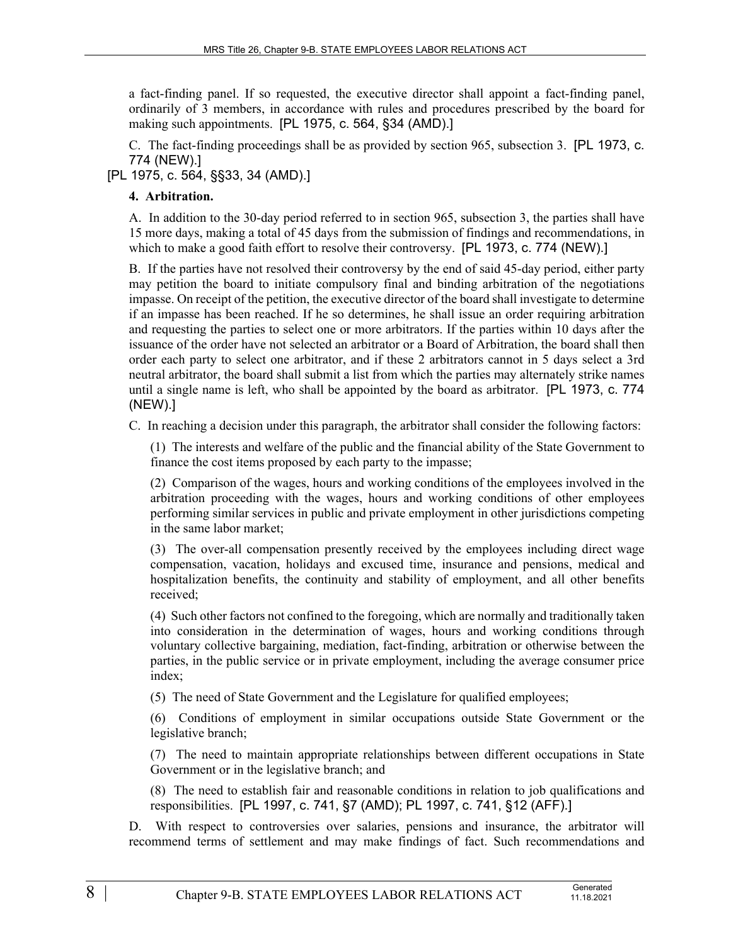a fact-finding panel. If so requested, the executive director shall appoint a fact-finding panel, ordinarily of 3 members, in accordance with rules and procedures prescribed by the board for making such appointments. [PL 1975, c. 564, §34 (AMD).]

C. The fact-finding proceedings shall be as provided by section 965, subsection 3. [PL 1973, c. 774 (NEW).]

[PL 1975, c. 564, §§33, 34 (AMD).]

### **4. Arbitration.**

A. In addition to the 30-day period referred to in section 965, subsection 3, the parties shall have 15 more days, making a total of 45 days from the submission of findings and recommendations, in which to make a good faith effort to resolve their controversy. [PL 1973, c. 774 (NEW).]

B. If the parties have not resolved their controversy by the end of said 45-day period, either party may petition the board to initiate compulsory final and binding arbitration of the negotiations impasse. On receipt of the petition, the executive director of the board shall investigate to determine if an impasse has been reached. If he so determines, he shall issue an order requiring arbitration and requesting the parties to select one or more arbitrators. If the parties within 10 days after the issuance of the order have not selected an arbitrator or a Board of Arbitration, the board shall then order each party to select one arbitrator, and if these 2 arbitrators cannot in 5 days select a 3rd neutral arbitrator, the board shall submit a list from which the parties may alternately strike names until a single name is left, who shall be appointed by the board as arbitrator. [PL 1973, c. 774 (NEW).]

C. In reaching a decision under this paragraph, the arbitrator shall consider the following factors:

(1) The interests and welfare of the public and the financial ability of the State Government to finance the cost items proposed by each party to the impasse;

(2) Comparison of the wages, hours and working conditions of the employees involved in the arbitration proceeding with the wages, hours and working conditions of other employees performing similar services in public and private employment in other jurisdictions competing in the same labor market;

(3) The over-all compensation presently received by the employees including direct wage compensation, vacation, holidays and excused time, insurance and pensions, medical and hospitalization benefits, the continuity and stability of employment, and all other benefits received;

(4) Such other factors not confined to the foregoing, which are normally and traditionally taken into consideration in the determination of wages, hours and working conditions through voluntary collective bargaining, mediation, fact-finding, arbitration or otherwise between the parties, in the public service or in private employment, including the average consumer price index;

(5) The need of State Government and the Legislature for qualified employees;

(6) Conditions of employment in similar occupations outside State Government or the legislative branch;

(7) The need to maintain appropriate relationships between different occupations in State Government or in the legislative branch; and

(8) The need to establish fair and reasonable conditions in relation to job qualifications and responsibilities. [PL 1997, c. 741, §7 (AMD); PL 1997, c. 741, §12 (AFF).]

D. With respect to controversies over salaries, pensions and insurance, the arbitrator will recommend terms of settlement and may make findings of fact. Such recommendations and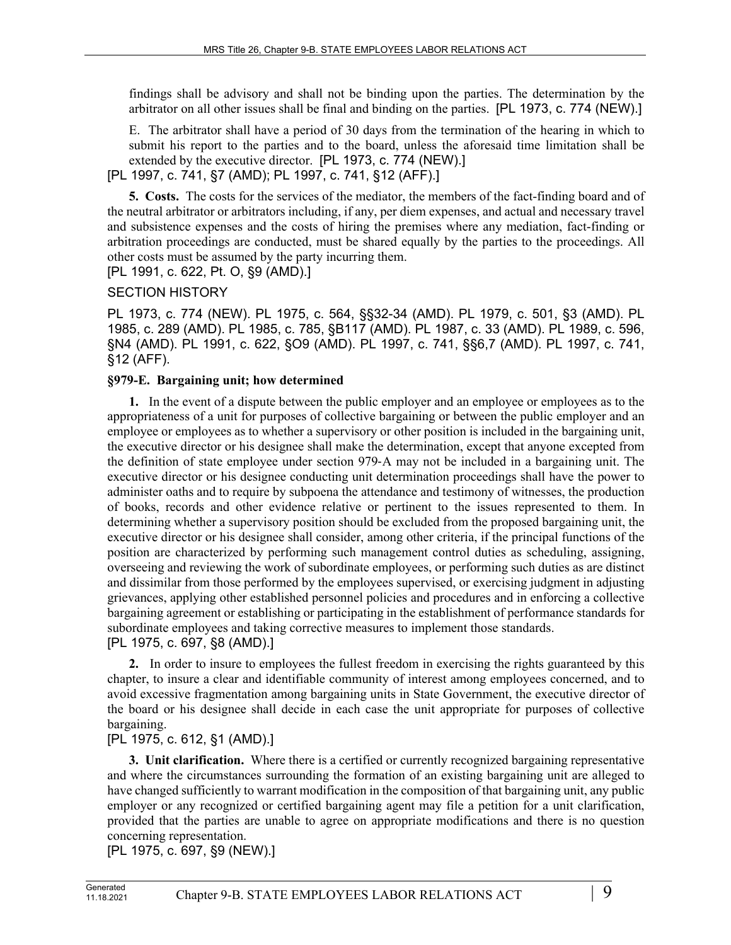findings shall be advisory and shall not be binding upon the parties. The determination by the arbitrator on all other issues shall be final and binding on the parties. [PL 1973, c. 774 (NEW).]

E. The arbitrator shall have a period of 30 days from the termination of the hearing in which to submit his report to the parties and to the board, unless the aforesaid time limitation shall be extended by the executive director. [PL 1973, c. 774 (NEW).]

[PL 1997, c. 741, §7 (AMD); PL 1997, c. 741, §12 (AFF).]

**5. Costs.** The costs for the services of the mediator, the members of the fact-finding board and of the neutral arbitrator or arbitrators including, if any, per diem expenses, and actual and necessary travel and subsistence expenses and the costs of hiring the premises where any mediation, fact-finding or arbitration proceedings are conducted, must be shared equally by the parties to the proceedings. All other costs must be assumed by the party incurring them.

[PL 1991, c. 622, Pt. O, §9 (AMD).]

SECTION HISTORY

PL 1973, c. 774 (NEW). PL 1975, c. 564, §§32-34 (AMD). PL 1979, c. 501, §3 (AMD). PL 1985, c. 289 (AMD). PL 1985, c. 785, §B117 (AMD). PL 1987, c. 33 (AMD). PL 1989, c. 596, §N4 (AMD). PL 1991, c. 622, §O9 (AMD). PL 1997, c. 741, §§6,7 (AMD). PL 1997, c. 741, §12 (AFF).

# **§979-E. Bargaining unit; how determined**

**1.** In the event of a dispute between the public employer and an employee or employees as to the appropriateness of a unit for purposes of collective bargaining or between the public employer and an employee or employees as to whether a supervisory or other position is included in the bargaining unit, the executive director or his designee shall make the determination, except that anyone excepted from the definition of state employee under section 979‑A may not be included in a bargaining unit. The executive director or his designee conducting unit determination proceedings shall have the power to administer oaths and to require by subpoena the attendance and testimony of witnesses, the production of books, records and other evidence relative or pertinent to the issues represented to them. In determining whether a supervisory position should be excluded from the proposed bargaining unit, the executive director or his designee shall consider, among other criteria, if the principal functions of the position are characterized by performing such management control duties as scheduling, assigning, overseeing and reviewing the work of subordinate employees, or performing such duties as are distinct and dissimilar from those performed by the employees supervised, or exercising judgment in adjusting grievances, applying other established personnel policies and procedures and in enforcing a collective bargaining agreement or establishing or participating in the establishment of performance standards for subordinate employees and taking corrective measures to implement those standards. [PL 1975, c. 697, §8 (AMD).]

**2.** In order to insure to employees the fullest freedom in exercising the rights guaranteed by this chapter, to insure a clear and identifiable community of interest among employees concerned, and to avoid excessive fragmentation among bargaining units in State Government, the executive director of the board or his designee shall decide in each case the unit appropriate for purposes of collective bargaining.

# [PL 1975, c. 612, §1 (AMD).]

**3. Unit clarification.** Where there is a certified or currently recognized bargaining representative and where the circumstances surrounding the formation of an existing bargaining unit are alleged to have changed sufficiently to warrant modification in the composition of that bargaining unit, any public employer or any recognized or certified bargaining agent may file a petition for a unit clarification, provided that the parties are unable to agree on appropriate modifications and there is no question concerning representation.

[PL 1975, c. 697, §9 (NEW).]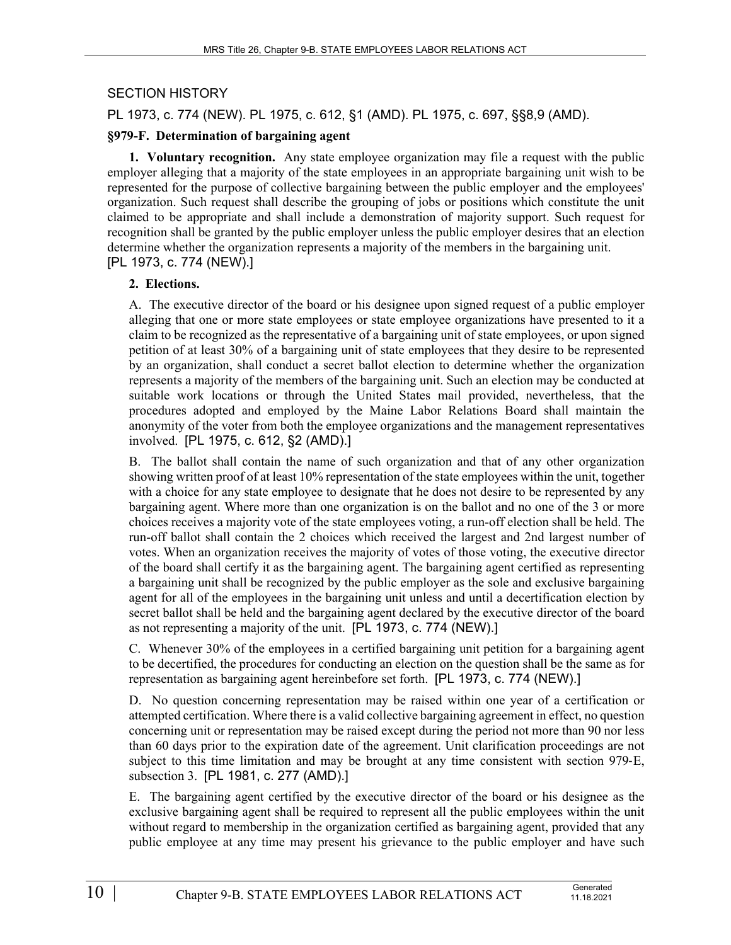### SECTION HISTORY

### PL 1973, c. 774 (NEW). PL 1975, c. 612, §1 (AMD). PL 1975, c. 697, §§8,9 (AMD).

#### **§979-F. Determination of bargaining agent**

**1. Voluntary recognition.** Any state employee organization may file a request with the public employer alleging that a majority of the state employees in an appropriate bargaining unit wish to be represented for the purpose of collective bargaining between the public employer and the employees' organization. Such request shall describe the grouping of jobs or positions which constitute the unit claimed to be appropriate and shall include a demonstration of majority support. Such request for recognition shall be granted by the public employer unless the public employer desires that an election determine whether the organization represents a majority of the members in the bargaining unit. [PL 1973, c. 774 (NEW).]

#### **2. Elections.**

A. The executive director of the board or his designee upon signed request of a public employer alleging that one or more state employees or state employee organizations have presented to it a claim to be recognized as the representative of a bargaining unit of state employees, or upon signed petition of at least 30% of a bargaining unit of state employees that they desire to be represented by an organization, shall conduct a secret ballot election to determine whether the organization represents a majority of the members of the bargaining unit. Such an election may be conducted at suitable work locations or through the United States mail provided, nevertheless, that the procedures adopted and employed by the Maine Labor Relations Board shall maintain the anonymity of the voter from both the employee organizations and the management representatives involved. [PL 1975, c. 612, §2 (AMD).]

B. The ballot shall contain the name of such organization and that of any other organization showing written proof of at least 10% representation of the state employees within the unit, together with a choice for any state employee to designate that he does not desire to be represented by any bargaining agent. Where more than one organization is on the ballot and no one of the 3 or more choices receives a majority vote of the state employees voting, a run-off election shall be held. The run-off ballot shall contain the 2 choices which received the largest and 2nd largest number of votes. When an organization receives the majority of votes of those voting, the executive director of the board shall certify it as the bargaining agent. The bargaining agent certified as representing a bargaining unit shall be recognized by the public employer as the sole and exclusive bargaining agent for all of the employees in the bargaining unit unless and until a decertification election by secret ballot shall be held and the bargaining agent declared by the executive director of the board as not representing a majority of the unit. [PL 1973, c. 774 (NEW).]

C. Whenever 30% of the employees in a certified bargaining unit petition for a bargaining agent to be decertified, the procedures for conducting an election on the question shall be the same as for representation as bargaining agent hereinbefore set forth. [PL 1973, c. 774 (NEW).]

D. No question concerning representation may be raised within one year of a certification or attempted certification. Where there is a valid collective bargaining agreement in effect, no question concerning unit or representation may be raised except during the period not more than 90 nor less than 60 days prior to the expiration date of the agreement. Unit clarification proceedings are not subject to this time limitation and may be brought at any time consistent with section 979-E, subsection 3. [PL 1981, c. 277 (AMD).]

E. The bargaining agent certified by the executive director of the board or his designee as the exclusive bargaining agent shall be required to represent all the public employees within the unit without regard to membership in the organization certified as bargaining agent, provided that any public employee at any time may present his grievance to the public employer and have such

11.18.2021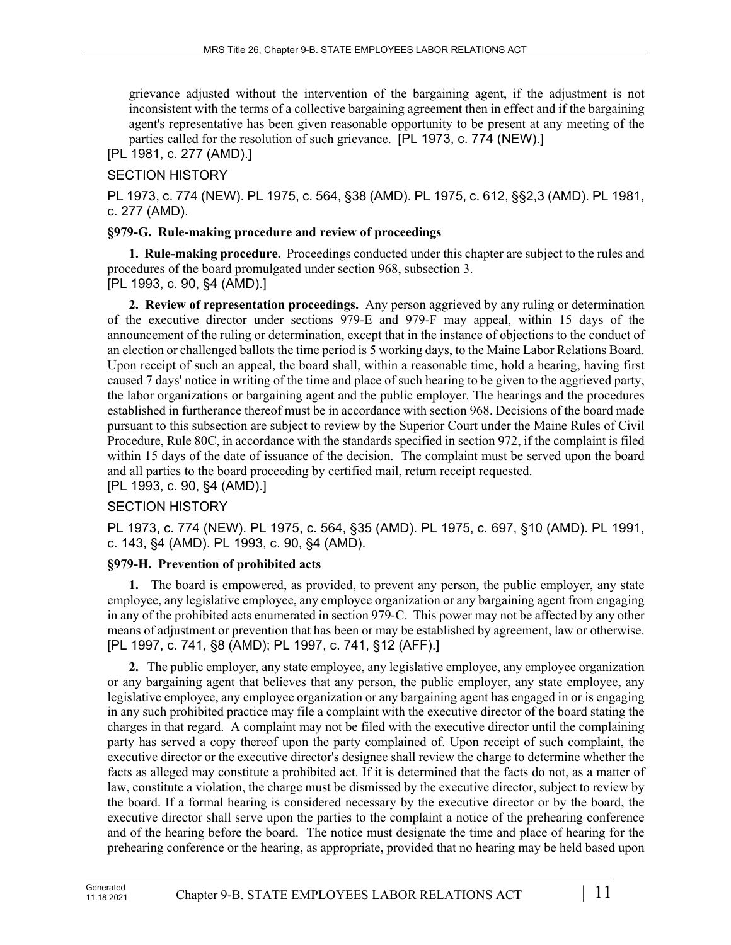grievance adjusted without the intervention of the bargaining agent, if the adjustment is not inconsistent with the terms of a collective bargaining agreement then in effect and if the bargaining agent's representative has been given reasonable opportunity to be present at any meeting of the parties called for the resolution of such grievance. [PL 1973, c. 774 (NEW).]

[PL 1981, c. 277 (AMD).]

# SECTION HISTORY

PL 1973, c. 774 (NEW). PL 1975, c. 564, §38 (AMD). PL 1975, c. 612, §§2,3 (AMD). PL 1981, c. 277 (AMD).

# **§979-G. Rule-making procedure and review of proceedings**

**1. Rule-making procedure.** Proceedings conducted under this chapter are subject to the rules and procedures of the board promulgated under section 968, subsection 3.

[PL 1993, c. 90, §4 (AMD).]

**2. Review of representation proceedings.** Any person aggrieved by any ruling or determination of the executive director under sections 979-E and 979-F may appeal, within 15 days of the announcement of the ruling or determination, except that in the instance of objections to the conduct of an election or challenged ballots the time period is 5 working days, to the Maine Labor Relations Board. Upon receipt of such an appeal, the board shall, within a reasonable time, hold a hearing, having first caused 7 days' notice in writing of the time and place of such hearing to be given to the aggrieved party, the labor organizations or bargaining agent and the public employer. The hearings and the procedures established in furtherance thereof must be in accordance with section 968. Decisions of the board made pursuant to this subsection are subject to review by the Superior Court under the Maine Rules of Civil Procedure, Rule 80C, in accordance with the standards specified in section 972, if the complaint is filed within 15 days of the date of issuance of the decision. The complaint must be served upon the board and all parties to the board proceeding by certified mail, return receipt requested.

# [PL 1993, c. 90, §4 (AMD).]

# SECTION HISTORY

PL 1973, c. 774 (NEW). PL 1975, c. 564, §35 (AMD). PL 1975, c. 697, §10 (AMD). PL 1991, c. 143, §4 (AMD). PL 1993, c. 90, §4 (AMD).

# **§979-H. Prevention of prohibited acts**

**1.** The board is empowered, as provided, to prevent any person, the public employer, any state employee, any legislative employee, any employee organization or any bargaining agent from engaging in any of the prohibited acts enumerated in section 979‑C. This power may not be affected by any other means of adjustment or prevention that has been or may be established by agreement, law or otherwise. [PL 1997, c. 741, §8 (AMD); PL 1997, c. 741, §12 (AFF).]

**2.** The public employer, any state employee, any legislative employee, any employee organization or any bargaining agent that believes that any person, the public employer, any state employee, any legislative employee, any employee organization or any bargaining agent has engaged in or is engaging in any such prohibited practice may file a complaint with the executive director of the board stating the charges in that regard. A complaint may not be filed with the executive director until the complaining party has served a copy thereof upon the party complained of. Upon receipt of such complaint, the executive director or the executive director's designee shall review the charge to determine whether the facts as alleged may constitute a prohibited act. If it is determined that the facts do not, as a matter of law, constitute a violation, the charge must be dismissed by the executive director, subject to review by the board. If a formal hearing is considered necessary by the executive director or by the board, the executive director shall serve upon the parties to the complaint a notice of the prehearing conference and of the hearing before the board. The notice must designate the time and place of hearing for the prehearing conference or the hearing, as appropriate, provided that no hearing may be held based upon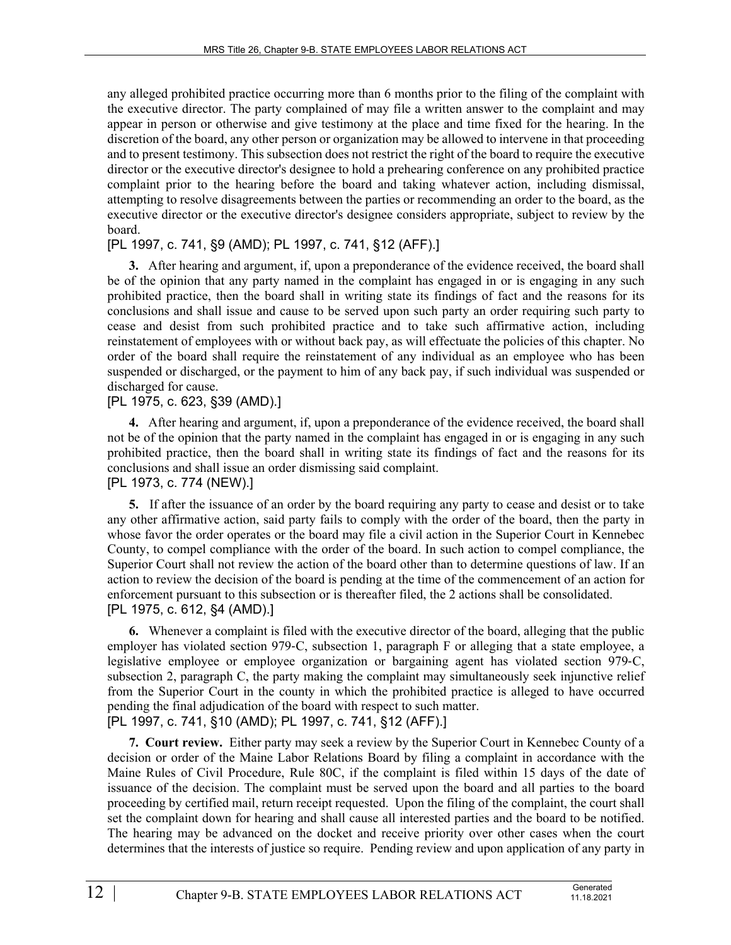any alleged prohibited practice occurring more than 6 months prior to the filing of the complaint with the executive director. The party complained of may file a written answer to the complaint and may appear in person or otherwise and give testimony at the place and time fixed for the hearing. In the discretion of the board, any other person or organization may be allowed to intervene in that proceeding and to present testimony. This subsection does not restrict the right of the board to require the executive director or the executive director's designee to hold a prehearing conference on any prohibited practice complaint prior to the hearing before the board and taking whatever action, including dismissal, attempting to resolve disagreements between the parties or recommending an order to the board, as the executive director or the executive director's designee considers appropriate, subject to review by the board.

### [PL 1997, c. 741, §9 (AMD); PL 1997, c. 741, §12 (AFF).]

**3.** After hearing and argument, if, upon a preponderance of the evidence received, the board shall be of the opinion that any party named in the complaint has engaged in or is engaging in any such prohibited practice, then the board shall in writing state its findings of fact and the reasons for its conclusions and shall issue and cause to be served upon such party an order requiring such party to cease and desist from such prohibited practice and to take such affirmative action, including reinstatement of employees with or without back pay, as will effectuate the policies of this chapter. No order of the board shall require the reinstatement of any individual as an employee who has been suspended or discharged, or the payment to him of any back pay, if such individual was suspended or discharged for cause.

### [PL 1975, c. 623, §39 (AMD).]

**4.** After hearing and argument, if, upon a preponderance of the evidence received, the board shall not be of the opinion that the party named in the complaint has engaged in or is engaging in any such prohibited practice, then the board shall in writing state its findings of fact and the reasons for its conclusions and shall issue an order dismissing said complaint. [PL 1973, c. 774 (NEW).]

**5.** If after the issuance of an order by the board requiring any party to cease and desist or to take any other affirmative action, said party fails to comply with the order of the board, then the party in whose favor the order operates or the board may file a civil action in the Superior Court in Kennebec County, to compel compliance with the order of the board. In such action to compel compliance, the Superior Court shall not review the action of the board other than to determine questions of law. If an action to review the decision of the board is pending at the time of the commencement of an action for enforcement pursuant to this subsection or is thereafter filed, the 2 actions shall be consolidated. [PL 1975, c. 612, §4 (AMD).]

**6.** Whenever a complaint is filed with the executive director of the board, alleging that the public employer has violated section 979–C, subsection 1, paragraph F or alleging that a state employee, a legislative employee or employee organization or bargaining agent has violated section 979‑C, subsection 2, paragraph C, the party making the complaint may simultaneously seek injunctive relief from the Superior Court in the county in which the prohibited practice is alleged to have occurred pending the final adjudication of the board with respect to such matter.

[PL 1997, c. 741, §10 (AMD); PL 1997, c. 741, §12 (AFF).]

**7. Court review.** Either party may seek a review by the Superior Court in Kennebec County of a decision or order of the Maine Labor Relations Board by filing a complaint in accordance with the Maine Rules of Civil Procedure, Rule 80C, if the complaint is filed within 15 days of the date of issuance of the decision. The complaint must be served upon the board and all parties to the board proceeding by certified mail, return receipt requested. Upon the filing of the complaint, the court shall set the complaint down for hearing and shall cause all interested parties and the board to be notified. The hearing may be advanced on the docket and receive priority over other cases when the court determines that the interests of justice so require. Pending review and upon application of any party in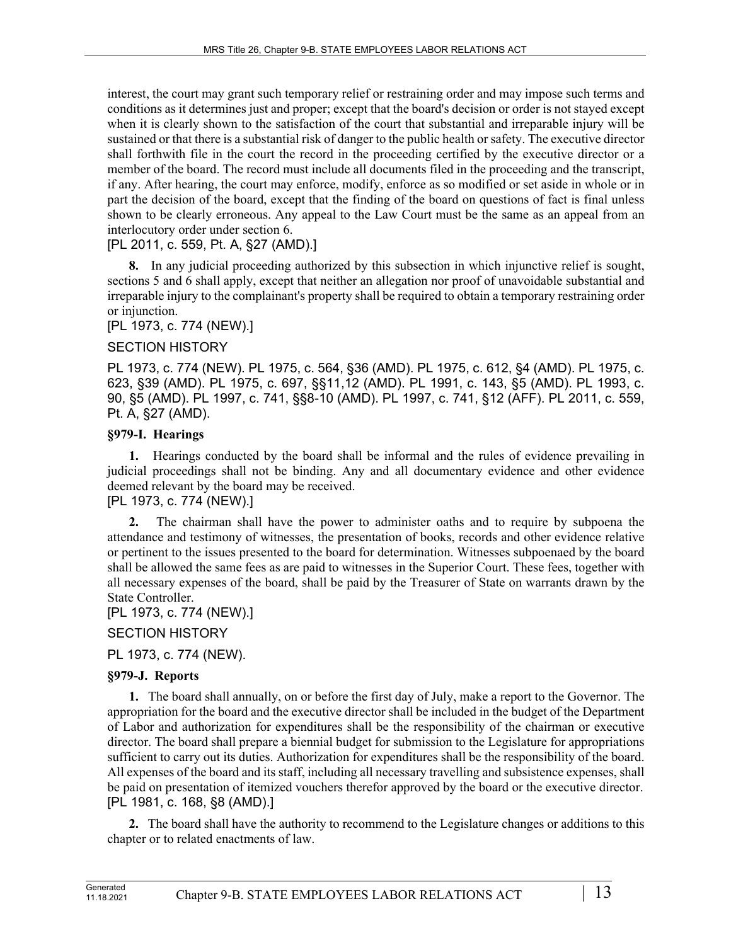interest, the court may grant such temporary relief or restraining order and may impose such terms and conditions as it determines just and proper; except that the board's decision or order is not stayed except when it is clearly shown to the satisfaction of the court that substantial and irreparable injury will be sustained or that there is a substantial risk of danger to the public health or safety. The executive director shall forthwith file in the court the record in the proceeding certified by the executive director or a member of the board. The record must include all documents filed in the proceeding and the transcript, if any. After hearing, the court may enforce, modify, enforce as so modified or set aside in whole or in part the decision of the board, except that the finding of the board on questions of fact is final unless shown to be clearly erroneous. Any appeal to the Law Court must be the same as an appeal from an interlocutory order under section 6.

# [PL 2011, c. 559, Pt. A, §27 (AMD).]

**8.** In any judicial proceeding authorized by this subsection in which injunctive relief is sought, sections 5 and 6 shall apply, except that neither an allegation nor proof of unavoidable substantial and irreparable injury to the complainant's property shall be required to obtain a temporary restraining order or injunction.

[PL 1973, c. 774 (NEW).]

# SECTION HISTORY

PL 1973, c. 774 (NEW). PL 1975, c. 564, §36 (AMD). PL 1975, c. 612, §4 (AMD). PL 1975, c. 623, §39 (AMD). PL 1975, c. 697, §§11,12 (AMD). PL 1991, c. 143, §5 (AMD). PL 1993, c. 90, §5 (AMD). PL 1997, c. 741, §§8-10 (AMD). PL 1997, c. 741, §12 (AFF). PL 2011, c. 559, Pt. A, §27 (AMD).

# **§979-I. Hearings**

**1.** Hearings conducted by the board shall be informal and the rules of evidence prevailing in judicial proceedings shall not be binding. Any and all documentary evidence and other evidence deemed relevant by the board may be received.

# [PL 1973, c. 774 (NEW).]

**2.** The chairman shall have the power to administer oaths and to require by subpoena the attendance and testimony of witnesses, the presentation of books, records and other evidence relative or pertinent to the issues presented to the board for determination. Witnesses subpoenaed by the board shall be allowed the same fees as are paid to witnesses in the Superior Court. These fees, together with all necessary expenses of the board, shall be paid by the Treasurer of State on warrants drawn by the State Controller.

# [PL 1973, c. 774 (NEW).]

# SECTION HISTORY

PL 1973, c. 774 (NEW).

# **§979-J. Reports**

**1.** The board shall annually, on or before the first day of July, make a report to the Governor. The appropriation for the board and the executive director shall be included in the budget of the Department of Labor and authorization for expenditures shall be the responsibility of the chairman or executive director. The board shall prepare a biennial budget for submission to the Legislature for appropriations sufficient to carry out its duties. Authorization for expenditures shall be the responsibility of the board. All expenses of the board and its staff, including all necessary travelling and subsistence expenses, shall be paid on presentation of itemized vouchers therefor approved by the board or the executive director. [PL 1981, c. 168, §8 (AMD).]

**2.** The board shall have the authority to recommend to the Legislature changes or additions to this chapter or to related enactments of law.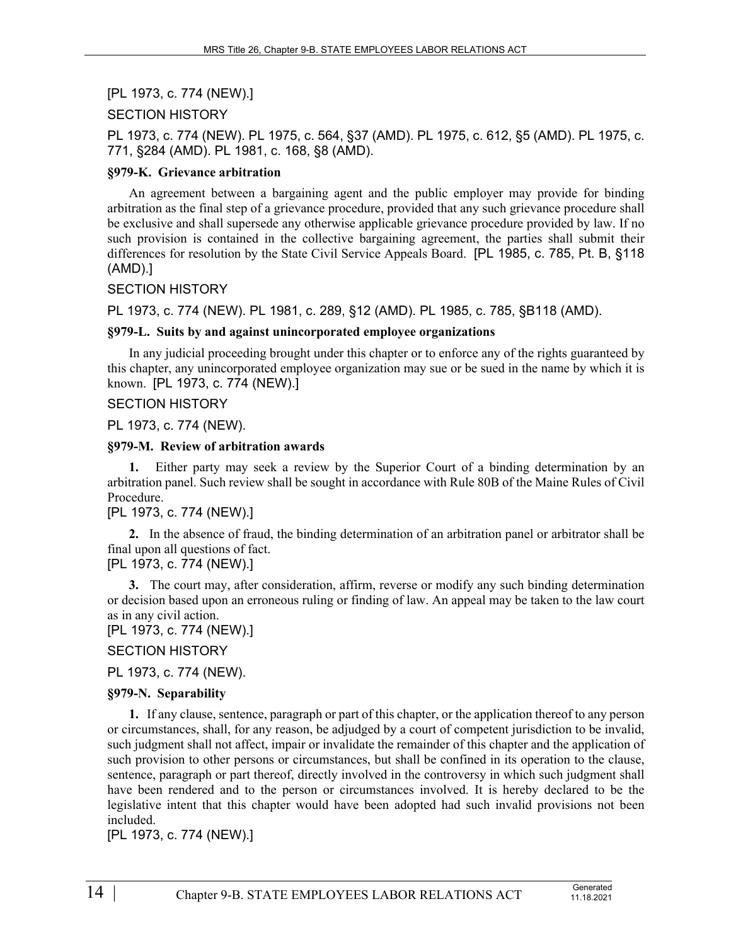### [PL 1973, c. 774 (NEW).]

#### SECTION HISTORY

PL 1973, c. 774 (NEW). PL 1975, c. 564, §37 (AMD). PL 1975, c. 612, §5 (AMD). PL 1975, c. 771, §284 (AMD). PL 1981, c. 168, §8 (AMD).

#### **§979-K. Grievance arbitration**

An agreement between a bargaining agent and the public employer may provide for binding arbitration as the final step of a grievance procedure, provided that any such grievance procedure shall be exclusive and shall supersede any otherwise applicable grievance procedure provided by law. If no such provision is contained in the collective bargaining agreement, the parties shall submit their differences for resolution by the State Civil Service Appeals Board. [PL 1985, c. 785, Pt. B, §118 (AMD).]

### SECTION HISTORY

PL 1973, c. 774 (NEW). PL 1981, c. 289, §12 (AMD). PL 1985, c. 785, §B118 (AMD).

#### **§979-L. Suits by and against unincorporated employee organizations**

In any judicial proceeding brought under this chapter or to enforce any of the rights guaranteed by this chapter, any unincorporated employee organization may sue or be sued in the name by which it is known. [PL 1973, c. 774 (NEW).]

### SECTION HISTORY

PL 1973, c. 774 (NEW).

### **§979-M. Review of arbitration awards**

**1.** Either party may seek a review by the Superior Court of a binding determination by an arbitration panel. Such review shall be sought in accordance with Rule 80B of the Maine Rules of Civil Procedure.

### [PL 1973, c. 774 (NEW).]

**2.** In the absence of fraud, the binding determination of an arbitration panel or arbitrator shall be final upon all questions of fact.

[PL 1973, c. 774 (NEW).]

**3.** The court may, after consideration, affirm, reverse or modify any such binding determination or decision based upon an erroneous ruling or finding of law. An appeal may be taken to the law court as in any civil action.

### [PL 1973, c. 774 (NEW).]

### SECTION HISTORY

PL 1973, c. 774 (NEW).

#### **§979-N. Separability**

**1.** If any clause, sentence, paragraph or part of this chapter, or the application thereof to any person or circumstances, shall, for any reason, be adjudged by a court of competent jurisdiction to be invalid, such judgment shall not affect, impair or invalidate the remainder of this chapter and the application of such provision to other persons or circumstances, but shall be confined in its operation to the clause, sentence, paragraph or part thereof, directly involved in the controversy in which such judgment shall have been rendered and to the person or circumstances involved. It is hereby declared to be the legislative intent that this chapter would have been adopted had such invalid provisions not been included.

[PL 1973, c. 774 (NEW).]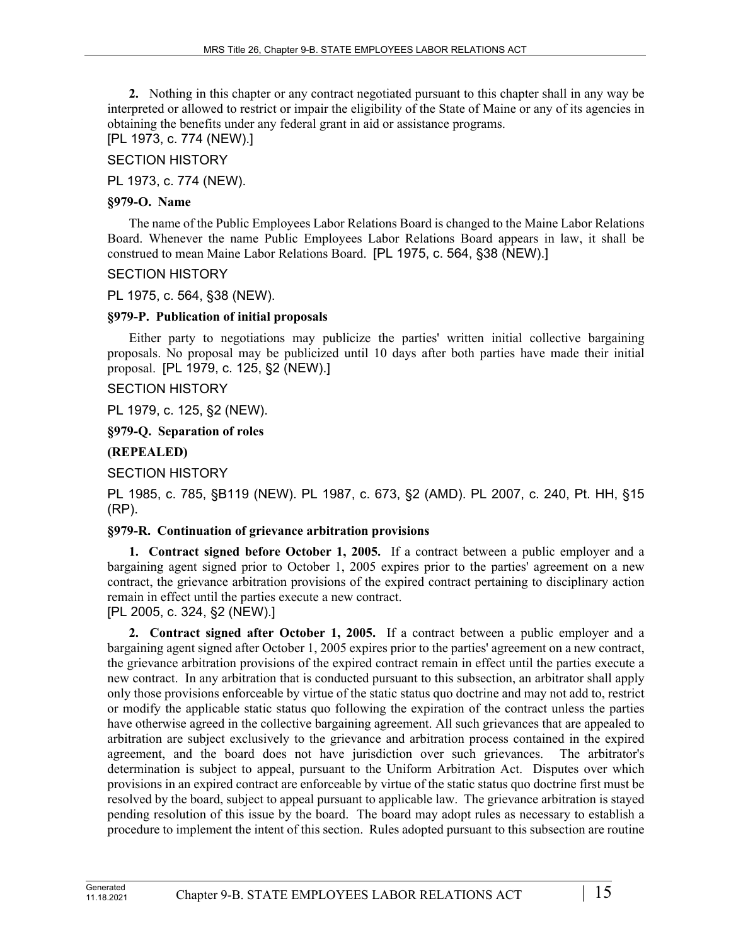**2.** Nothing in this chapter or any contract negotiated pursuant to this chapter shall in any way be interpreted or allowed to restrict or impair the eligibility of the State of Maine or any of its agencies in obtaining the benefits under any federal grant in aid or assistance programs.

[PL 1973, c. 774 (NEW).]

SECTION HISTORY

PL 1973, c. 774 (NEW).

### **§979-O. Name**

The name of the Public Employees Labor Relations Board is changed to the Maine Labor Relations Board. Whenever the name Public Employees Labor Relations Board appears in law, it shall be construed to mean Maine Labor Relations Board. [PL 1975, c. 564, §38 (NEW).]

### SECTION HISTORY

PL 1975, c. 564, §38 (NEW).

### **§979-P. Publication of initial proposals**

Either party to negotiations may publicize the parties' written initial collective bargaining proposals. No proposal may be publicized until 10 days after both parties have made their initial proposal. [PL 1979, c. 125, §2 (NEW).]

SECTION HISTORY

PL 1979, c. 125, §2 (NEW).

### **§979-Q. Separation of roles**

### **(REPEALED)**

SECTION HISTORY

PL 1985, c. 785, §B119 (NEW). PL 1987, c. 673, §2 (AMD). PL 2007, c. 240, Pt. HH, §15 (RP).

### **§979-R. Continuation of grievance arbitration provisions**

**1. Contract signed before October 1, 2005.** If a contract between a public employer and a bargaining agent signed prior to October 1, 2005 expires prior to the parties' agreement on a new contract, the grievance arbitration provisions of the expired contract pertaining to disciplinary action remain in effect until the parties execute a new contract.

[PL 2005, c. 324, §2 (NEW).]

**2. Contract signed after October 1, 2005.** If a contract between a public employer and a bargaining agent signed after October 1, 2005 expires prior to the parties' agreement on a new contract, the grievance arbitration provisions of the expired contract remain in effect until the parties execute a new contract. In any arbitration that is conducted pursuant to this subsection, an arbitrator shall apply only those provisions enforceable by virtue of the static status quo doctrine and may not add to, restrict or modify the applicable static status quo following the expiration of the contract unless the parties have otherwise agreed in the collective bargaining agreement. All such grievances that are appealed to arbitration are subject exclusively to the grievance and arbitration process contained in the expired agreement, and the board does not have jurisdiction over such grievances. The arbitrator's determination is subject to appeal, pursuant to the Uniform Arbitration Act. Disputes over which provisions in an expired contract are enforceable by virtue of the static status quo doctrine first must be resolved by the board, subject to appeal pursuant to applicable law. The grievance arbitration is stayed pending resolution of this issue by the board. The board may adopt rules as necessary to establish a procedure to implement the intent of this section. Rules adopted pursuant to this subsection are routine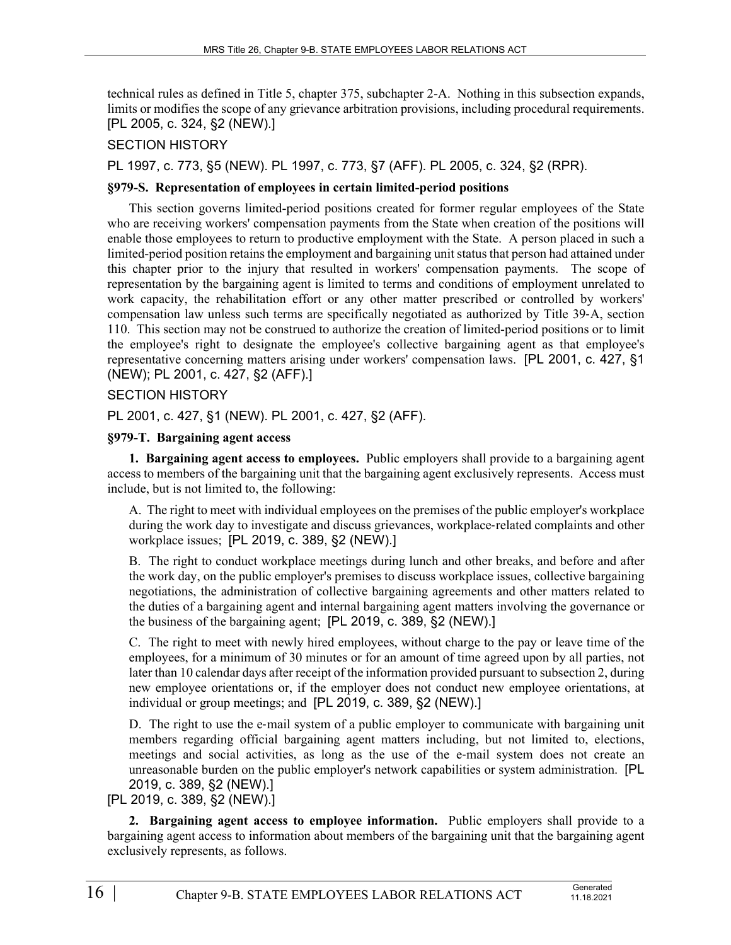technical rules as defined in Title 5, chapter 375, subchapter 2-A. Nothing in this subsection expands, limits or modifies the scope of any grievance arbitration provisions, including procedural requirements. [PL 2005, c. 324, §2 (NEW).]

### SECTION HISTORY

PL 1997, c. 773, §5 (NEW). PL 1997, c. 773, §7 (AFF). PL 2005, c. 324, §2 (RPR).

### **§979-S. Representation of employees in certain limited-period positions**

This section governs limited-period positions created for former regular employees of the State who are receiving workers' compensation payments from the State when creation of the positions will enable those employees to return to productive employment with the State. A person placed in such a limited-period position retains the employment and bargaining unit status that person had attained under this chapter prior to the injury that resulted in workers' compensation payments. The scope of representation by the bargaining agent is limited to terms and conditions of employment unrelated to work capacity, the rehabilitation effort or any other matter prescribed or controlled by workers' compensation law unless such terms are specifically negotiated as authorized by Title 39‑A, section 110. This section may not be construed to authorize the creation of limited-period positions or to limit the employee's right to designate the employee's collective bargaining agent as that employee's representative concerning matters arising under workers' compensation laws. [PL 2001, c. 427, §1 (NEW); PL 2001, c. 427, §2 (AFF).]

### SECTION HISTORY

PL 2001, c. 427, §1 (NEW). PL 2001, c. 427, §2 (AFF).

### **§979-T. Bargaining agent access**

**1. Bargaining agent access to employees.** Public employers shall provide to a bargaining agent access to members of the bargaining unit that the bargaining agent exclusively represents. Access must include, but is not limited to, the following:

A. The right to meet with individual employees on the premises of the public employer's workplace during the work day to investigate and discuss grievances, workplace-related complaints and other workplace issues; [PL 2019, c. 389, §2 (NEW).]

B. The right to conduct workplace meetings during lunch and other breaks, and before and after the work day, on the public employer's premises to discuss workplace issues, collective bargaining negotiations, the administration of collective bargaining agreements and other matters related to the duties of a bargaining agent and internal bargaining agent matters involving the governance or the business of the bargaining agent; [PL 2019, c. 389, §2 (NEW).]

C. The right to meet with newly hired employees, without charge to the pay or leave time of the employees, for a minimum of 30 minutes or for an amount of time agreed upon by all parties, not later than 10 calendar days after receipt of the information provided pursuant to subsection 2, during new employee orientations or, if the employer does not conduct new employee orientations, at individual or group meetings; and [PL 2019, c. 389, §2 (NEW).]

D. The right to use the e-mail system of a public employer to communicate with bargaining unit members regarding official bargaining agent matters including, but not limited to, elections, meetings and social activities, as long as the use of the e-mail system does not create an unreasonable burden on the public employer's network capabilities or system administration. [PL 2019, c. 389, §2 (NEW).]

[PL 2019, c. 389, §2 (NEW).]

**2. Bargaining agent access to employee information.** Public employers shall provide to a bargaining agent access to information about members of the bargaining unit that the bargaining agent exclusively represents, as follows.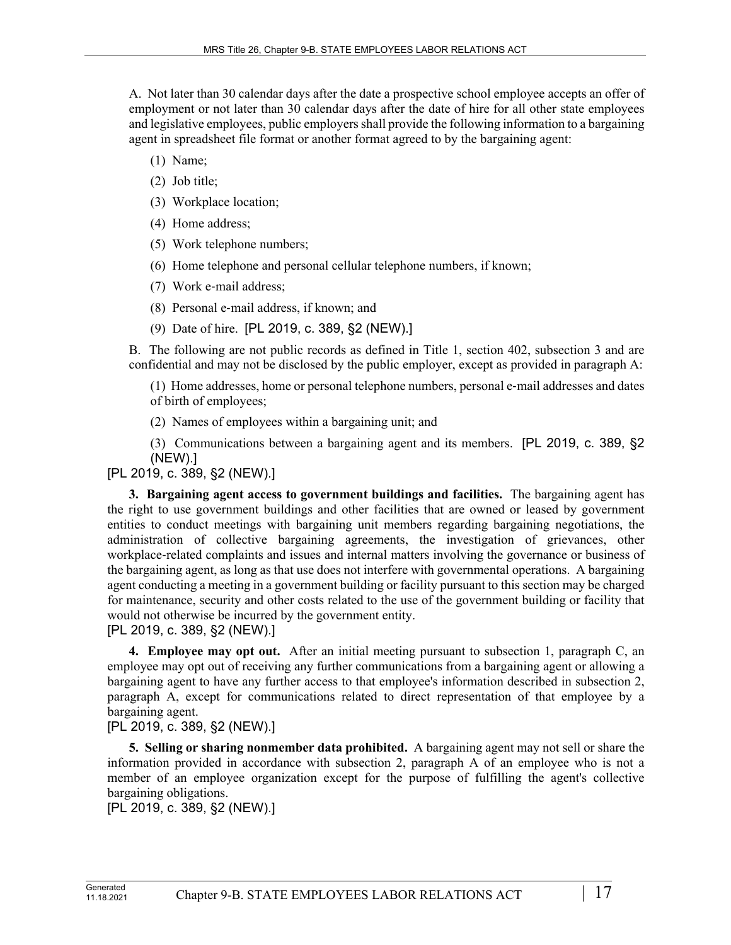A. Not later than 30 calendar days after the date a prospective school employee accepts an offer of employment or not later than 30 calendar days after the date of hire for all other state employees and legislative employees, public employers shall provide the following information to a bargaining agent in spreadsheet file format or another format agreed to by the bargaining agent:

- (1) Name;
- (2) Job title;
- (3) Workplace location;
- (4) Home address;
- (5) Work telephone numbers;
- (6) Home telephone and personal cellular telephone numbers, if known;
- (7) Work e‑mail address;
- (8) Personal e‑mail address, if known; and
- (9) Date of hire. [PL 2019, c. 389, §2 (NEW).]

B. The following are not public records as defined in Title 1, section 402, subsection 3 and are confidential and may not be disclosed by the public employer, except as provided in paragraph A:

(1) Home addresses, home or personal telephone numbers, personal e‑mail addresses and dates of birth of employees;

(2) Names of employees within a bargaining unit; and

(3) Communications between a bargaining agent and its members. [PL 2019, c. 389, §2 (NEW).]

[PL 2019, c. 389, §2 (NEW).]

**3. Bargaining agent access to government buildings and facilities.** The bargaining agent has the right to use government buildings and other facilities that are owned or leased by government entities to conduct meetings with bargaining unit members regarding bargaining negotiations, the administration of collective bargaining agreements, the investigation of grievances, other workplace-related complaints and issues and internal matters involving the governance or business of the bargaining agent, as long as that use does not interfere with governmental operations. A bargaining agent conducting a meeting in a government building or facility pursuant to this section may be charged for maintenance, security and other costs related to the use of the government building or facility that would not otherwise be incurred by the government entity.

[PL 2019, c. 389, §2 (NEW).]

**4. Employee may opt out.** After an initial meeting pursuant to subsection 1, paragraph C, an employee may opt out of receiving any further communications from a bargaining agent or allowing a bargaining agent to have any further access to that employee's information described in subsection 2, paragraph A, except for communications related to direct representation of that employee by a bargaining agent.

[PL 2019, c. 389, §2 (NEW).]

**5. Selling or sharing nonmember data prohibited.** A bargaining agent may not sell or share the information provided in accordance with subsection 2, paragraph A of an employee who is not a member of an employee organization except for the purpose of fulfilling the agent's collective bargaining obligations.

[PL 2019, c. 389, §2 (NEW).]